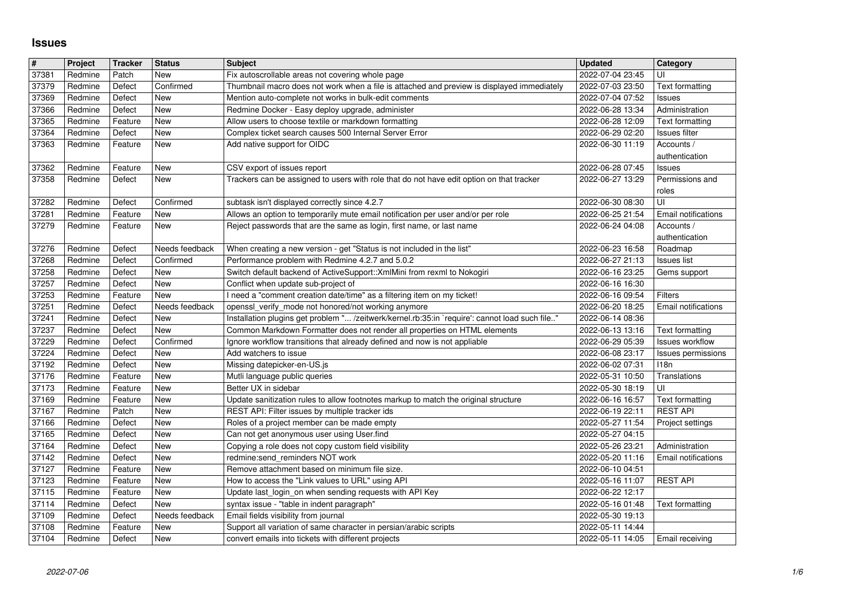## **Issues**

| $\vert \mathbf{H} \vert$ | Project            | <b>Tracker</b>     | <b>Status</b>               | <b>Subject</b>                                                                                                                                        | <b>Updated</b>                       | Category                      |
|--------------------------|--------------------|--------------------|-----------------------------|-------------------------------------------------------------------------------------------------------------------------------------------------------|--------------------------------------|-------------------------------|
| 37381                    | Redmine            | Patch              | <b>New</b><br>Confirmed     | Fix autoscrollable areas not covering whole page                                                                                                      | 2022-07-04 23:45<br>2022-07-03 23:50 | UI                            |
| 37379<br>37369           | Redmine<br>Redmine | Defect<br>Defect   | New                         | Thumbnail macro does not work when a file is attached and preview is displayed immediately<br>Mention auto-complete not works in bulk-edit comments   | 2022-07-04 07:52                     | Text formatting<br>Issues     |
| 37366                    | Redmine            | Defect             | New                         | Redmine Docker - Easy deploy upgrade, administer                                                                                                      | 2022-06-28 13:34                     | Administration                |
| 37365                    | Redmine            | Feature            | New                         | Allow users to choose textile or markdown formatting                                                                                                  | 2022-06-28 12:09                     | Text formatting               |
| 37364                    | Redmine            | Defect             | New                         | Complex ticket search causes 500 Internal Server Error                                                                                                | 2022-06-29 02:20                     | Issues filter                 |
| 37363                    | Redmine            | Feature            | New                         | Add native support for OIDC                                                                                                                           | 2022-06-30 11:19                     | Accounts /<br>authentication  |
| 37362                    | Redmine            | Feature            | New                         | CSV export of issues report                                                                                                                           | 2022-06-28 07:45                     | Issues                        |
| 37358                    | Redmine            | Defect             | New                         | Trackers can be assigned to users with role that do not have edit option on that tracker                                                              | 2022-06-27 13:29                     | Permissions and               |
|                          |                    |                    |                             |                                                                                                                                                       |                                      | roles                         |
| 37282<br>37281           | Redmine<br>Redmine | Defect<br>Feature  | Confirmed<br>New            | subtask isn't displayed correctly since 4.2.7<br>Allows an option to temporarily mute email notification per user and/or per role                     | 2022-06-30 08:30<br>2022-06-25 21:54 | UI<br>Email notifications     |
| 37279                    | Redmine            | Feature            | New                         | Reject passwords that are the same as login, first name, or last name                                                                                 | 2022-06-24 04:08                     | Accounts /                    |
|                          |                    |                    |                             |                                                                                                                                                       |                                      | authentication                |
| 37276<br>37268           | Redmine<br>Redmine | Defect<br>Defect   | Needs feedback<br>Confirmed | When creating a new version - get "Status is not included in the list"<br>Performance problem with Redmine 4.2.7 and 5.0.2                            | 2022-06-23 16:58<br>2022-06-27 21:13 | Roadmap<br><b>Issues list</b> |
| 37258                    | Redmine            | Defect             | New                         | Switch default backend of ActiveSupport:: XmlMini from rexml to Nokogiri                                                                              | 2022-06-16 23:25                     | Gems support                  |
| 37257                    | Redmine            | Defect             | New                         | Conflict when update sub-project of                                                                                                                   | 2022-06-16 16:30                     |                               |
| 37253                    | Redmine            | Feature            | New                         | I need a "comment creation date/time" as a filtering item on my ticket!                                                                               | 2022-06-16 09:54                     | Filters                       |
| 37251<br>37241           | Redmine<br>Redmine | Defect<br>Defect   | Needs feedback<br>New       | openssl_verify_mode not honored/not working anymore<br>Installation plugins get problem " /zeitwerk/kernel.rb:35:in `require': cannot load such file" | 2022-06-20 18:25<br>2022-06-14 08:36 | Email notifications           |
| 37237                    | Redmine            | Defect             | New                         | Common Markdown Formatter does not render all properties on HTML elements                                                                             | 2022-06-13 13:16                     | <b>Text formatting</b>        |
| 37229                    | Redmine            | Defect             | Confirmed                   | Ignore workflow transitions that already defined and now is not appliable                                                                             | 2022-06-29 05:39                     | <b>Issues workflow</b>        |
| 37224                    | Redmine            | Defect             | New                         | Add watchers to issue                                                                                                                                 | 2022-06-08 23:17                     | <b>Issues permissions</b>     |
| 37192<br>37176           | Redmine<br>Redmine | Defect<br>Feature  | New<br>New                  | Missing datepicker-en-US.js<br>Mutli language public queries                                                                                          | 2022-06-02 07:31<br>2022-05-31 10:50 | 118n<br>Translations          |
| 37173                    | Redmine            | Feature            | New                         | Better UX in sidebar                                                                                                                                  | 2022-05-30 18:19                     | UI                            |
| 37169                    | Redmine            | Feature            | New                         | Update sanitization rules to allow footnotes markup to match the original structure                                                                   | 2022-06-16 16:57                     | Text formatting               |
| 37167                    | Redmine            | Patch              | New                         | REST API: Filter issues by multiple tracker ids                                                                                                       | 2022-06-19 22:11                     | <b>REST API</b>               |
| 37166<br>37165           | Redmine<br>Redmine | Defect<br>Defect   | New<br>New                  | Roles of a project member can be made empty<br>Can not get anonymous user using User.find                                                             | 2022-05-27 11:54<br>2022-05-27 04:15 | Project settings              |
| 37164                    | Redmine            | Defect             | New                         | Copying a role does not copy custom field visibility                                                                                                  | 2022-05-26 23:21                     | Administration                |
| 37142                    | Redmine            | Defect             | New                         | redmine:send_reminders NOT work                                                                                                                       | 2022-05-20 11:16                     | Email notifications           |
| 37127                    | Redmine            | Feature            | New                         | Remove attachment based on minimum file size.                                                                                                         | 2022-06-10 04:51                     |                               |
| 37123<br>37115           | Redmine<br>Redmine | Feature<br>Feature | New<br>New                  | How to access the "Link values to URL" using API<br>Update last_login_on when sending requests with API Key                                           | 2022-05-16 11:07<br>2022-06-22 12:17 | <b>REST API</b>               |
| 37114                    | Redmine            | Defect             | New                         | syntax issue - "table in indent paragraph"                                                                                                            | 2022-05-16 01:48                     | Text formatting               |
| 37109                    | Redmine            | Defect             | Needs feedback              | Email fields visibility from journal                                                                                                                  | 2022-05-30 19:13                     |                               |
| 37108<br>37104           | Redmine<br>Redmine | Feature<br>Defect  | New<br>New                  | Support all variation of same character in persian/arabic scripts<br>convert emails into tickets with different projects                              | 2022-05-11 14:44<br>2022-05-11 14:05 | Email receiving               |
|                          |                    |                    |                             |                                                                                                                                                       |                                      |                               |
|                          |                    |                    |                             |                                                                                                                                                       |                                      |                               |
|                          |                    |                    |                             |                                                                                                                                                       |                                      |                               |
|                          |                    |                    |                             |                                                                                                                                                       |                                      |                               |
|                          |                    |                    |                             |                                                                                                                                                       |                                      |                               |
|                          |                    |                    |                             |                                                                                                                                                       |                                      |                               |
|                          |                    |                    |                             |                                                                                                                                                       |                                      |                               |
|                          |                    |                    |                             |                                                                                                                                                       |                                      |                               |
|                          |                    |                    |                             |                                                                                                                                                       |                                      |                               |
|                          |                    |                    |                             |                                                                                                                                                       |                                      |                               |
|                          |                    |                    |                             |                                                                                                                                                       |                                      |                               |
|                          |                    |                    |                             |                                                                                                                                                       |                                      |                               |
|                          |                    |                    |                             |                                                                                                                                                       |                                      |                               |
|                          |                    |                    |                             |                                                                                                                                                       |                                      |                               |
|                          |                    |                    |                             |                                                                                                                                                       |                                      |                               |
|                          |                    |                    |                             |                                                                                                                                                       |                                      |                               |
|                          |                    |                    |                             |                                                                                                                                                       |                                      |                               |
|                          |                    |                    |                             |                                                                                                                                                       |                                      |                               |
|                          |                    |                    |                             |                                                                                                                                                       |                                      |                               |
|                          |                    |                    |                             |                                                                                                                                                       |                                      |                               |
|                          |                    |                    |                             |                                                                                                                                                       |                                      |                               |
|                          |                    |                    |                             |                                                                                                                                                       |                                      |                               |
|                          |                    |                    |                             |                                                                                                                                                       |                                      |                               |
|                          |                    |                    |                             |                                                                                                                                                       |                                      |                               |
|                          |                    |                    |                             |                                                                                                                                                       |                                      |                               |
|                          |                    |                    |                             |                                                                                                                                                       |                                      |                               |
|                          |                    |                    |                             |                                                                                                                                                       |                                      |                               |
|                          |                    |                    |                             |                                                                                                                                                       |                                      |                               |
|                          |                    |                    |                             |                                                                                                                                                       |                                      |                               |
|                          |                    |                    |                             |                                                                                                                                                       |                                      |                               |
|                          |                    |                    |                             |                                                                                                                                                       |                                      |                               |
|                          |                    |                    |                             |                                                                                                                                                       |                                      |                               |
|                          |                    |                    |                             |                                                                                                                                                       |                                      |                               |
|                          |                    |                    |                             |                                                                                                                                                       |                                      |                               |
|                          |                    |                    |                             |                                                                                                                                                       |                                      |                               |
|                          |                    |                    |                             |                                                                                                                                                       |                                      |                               |
|                          |                    |                    |                             |                                                                                                                                                       |                                      |                               |
|                          |                    |                    |                             |                                                                                                                                                       |                                      |                               |
|                          |                    |                    |                             |                                                                                                                                                       |                                      |                               |
|                          |                    |                    |                             |                                                                                                                                                       |                                      |                               |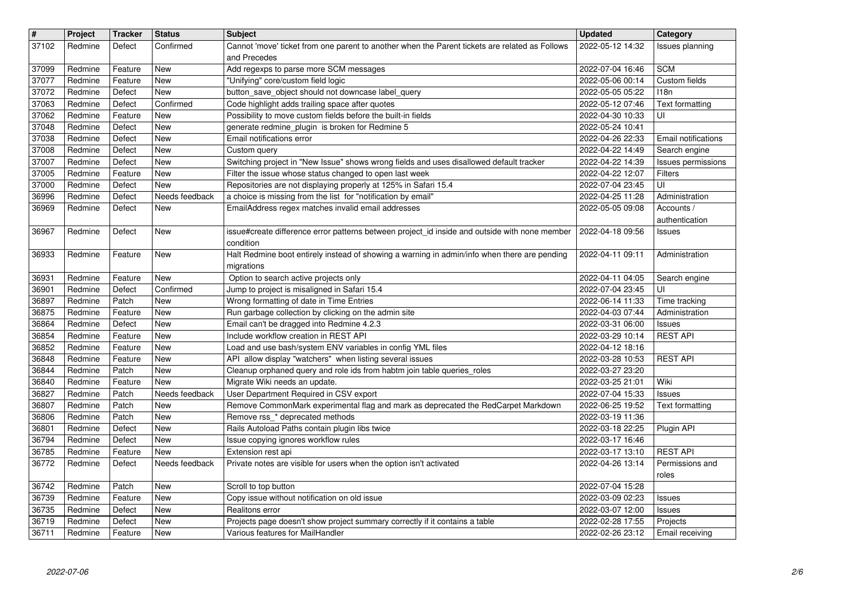| #              | Project            | <b>Tracker</b>    | <b>Status</b>           | <b>Subject</b>                                                                                                                      | <b>Updated</b>                       | Category                             |
|----------------|--------------------|-------------------|-------------------------|-------------------------------------------------------------------------------------------------------------------------------------|--------------------------------------|--------------------------------------|
| 37102          | Redmine            | Defect            | Confirmed               | Cannot 'move' ticket from one parent to another when the Parent tickets are related as Follows<br>and Precedes                      | 2022-05-12 14:32                     | <b>Issues planning</b>               |
| 37099          | Redmine            | Feature           | <b>New</b>              | Add regexps to parse more SCM messages                                                                                              | 2022-07-04 16:46                     | <b>SCM</b>                           |
| 37077          | Redmine            | Feature           | <b>New</b>              | "Unifying" core/custom field logic                                                                                                  | 2022-05-06 00:14                     | Custom fields                        |
| 37072<br>37063 | Redmine<br>Redmine | Defect<br>Defect  | New<br>Confirmed        | button save object should not downcase label query<br>Code highlight adds trailing space after quotes                               | 2022-05-05 05:22<br>2022-05-12 07:46 | 118n<br>Text formatting              |
| 37062          | Redmine            | Feature           | New                     | Possibility to move custom fields before the built-in fields                                                                        | 2022-04-30 10:33                     | UI                                   |
| 37048          | Redmine            | Defect            | New                     | generate redmine_plugin is broken for Redmine 5                                                                                     | 2022-05-24 10:41                     |                                      |
| 37038<br>37008 | Redmine<br>Redmine | Defect<br>Defect  | New<br>New              | Email notifications error<br>Custom query                                                                                           | 2022-04-26 22:33<br>2022-04-22 14:49 | Email notifications<br>Search engine |
| 37007          | Redmine            | Defect            | New                     | Switching project in "New Issue" shows wrong fields and uses disallowed default tracker                                             | 2022-04-22 14:39                     | Issues permissions                   |
| 37005<br>37000 | Redmine<br>Redmine | Feature<br>Defect | <b>New</b><br>New       | Filter the issue whose status changed to open last week<br>Repositories are not displaying properly at 125% in Safari 15.4          | 2022-04-22 12:07<br>2022-07-04 23:45 | Filters<br>UI                        |
| 36996          | Redmine            | Defect            | Needs feedback          | a choice is missing from the list for "notification by email"                                                                       | 2022-04-25 11:28                     | Administration                       |
| 36969          | Redmine            | Defect            | New                     | EmailAddress regex matches invalid email addresses                                                                                  | 2022-05-05 09:08                     | Accounts /                           |
| 36967          | Redmine            | Defect            | New                     | issue#create difference error patterns between project_id inside and outside with none member<br>condition                          | 2022-04-18 09:56                     | authentication<br><b>Issues</b>      |
| 36933          | Redmine            | Feature           | New                     | Halt Redmine boot entirely instead of showing a warning in admin/info when there are pending<br>migrations                          | 2022-04-11 09:11                     | Administration                       |
| 36931<br>36901 | Redmine<br>Redmine | Feature<br>Defect | <b>New</b><br>Confirmed | Option to search active projects only<br>Jump to project is misaligned in Safari 15.4                                               | 2022-04-11 04:05<br>2022-07-04 23:45 | Search engine<br>UI                  |
| 36897          | Redmine            | Patch             | New                     | Wrong formatting of date in Time Entries                                                                                            | 2022-06-14 11:33                     | Time tracking                        |
| 36875<br>36864 | Redmine<br>Redmine | Feature<br>Defect | New<br>New              | Run garbage collection by clicking on the admin site<br>Email can't be dragged into Redmine 4.2.3                                   | 2022-04-03 07:44<br>2022-03-31 06:00 | Administration<br>Issues             |
| 36854          | Redmine            | Feature           | <b>New</b>              | Include workflow creation in REST API                                                                                               | 2022-03-29 10:14                     | <b>REST API</b>                      |
| 36852          | Redmine            | Feature           | <b>New</b>              | Load and use bash/system ENV variables in config YML files                                                                          | 2022-04-12 18:16                     |                                      |
| 36848<br>36844 | Redmine<br>Redmine | Feature<br>Patch  | New<br><b>New</b>       | API allow display "watchers" when listing several issues<br>Cleanup orphaned query and role ids from habtm join table queries_roles | 2022-03-28 10:53<br>2022-03-27 23:20 | <b>REST API</b>                      |
| 36840          | Redmine            | Feature           | New                     | Migrate Wiki needs an update.                                                                                                       | 2022-03-25 21:01                     | Wiki                                 |
| 36827          | Redmine            | Patch             | Needs feedback          | User Department Required in CSV export                                                                                              | 2022-07-04 15:33                     | Issues                               |
| 36807<br>36806 | Redmine<br>Redmine | Patch<br>Patch    | New<br>New              | Remove CommonMark experimental flag and mark as deprecated the RedCarpet Markdown<br>Remove rss_* deprecated methods                | 2022-06-25 19:52<br>2022-03-19 11:36 | Text formatting                      |
| 36801          | Redmine            | Defect            | New                     | Rails Autoload Paths contain plugin libs twice                                                                                      | 2022-03-18 22:25                     | Plugin API                           |
| 36794          | Redmine            | Defect            | New                     | Issue copying ignores workflow rules                                                                                                | 2022-03-17 16:46                     |                                      |
| 36785<br>36772 | Redmine<br>Redmine | Feature<br>Defect | New<br>Needs feedback   | Extension rest api<br>Private notes are visible for users when the option isn't activated                                           | 2022-03-17 13:10<br>2022-04-26 13:14 | <b>REST API</b><br>Permissions and   |
|                |                    |                   |                         |                                                                                                                                     |                                      | roles                                |
|                | 36742   Redmine    | Patch             | New                     | Scroll to top button                                                                                                                | 2022-07-04 15:28                     |                                      |
| 36739<br>36735 | Redmine<br>Redmine | Feature<br>Defect | New<br>New              | Copy issue without notification on old issue<br>Realitons error                                                                     | 2022-03-09 02:23<br>2022-03-07 12:00 | <b>Issues</b><br>Issues              |
| 36719          | Redmine            | Defect            | New                     | Projects page doesn't show project summary correctly if it contains a table                                                         | 2022-02-28 17:55                     | Projects                             |
|                |                    |                   |                         |                                                                                                                                     |                                      |                                      |
|                |                    |                   |                         |                                                                                                                                     |                                      |                                      |
|                |                    |                   |                         |                                                                                                                                     |                                      |                                      |
|                |                    |                   |                         |                                                                                                                                     |                                      |                                      |
|                |                    |                   |                         |                                                                                                                                     |                                      |                                      |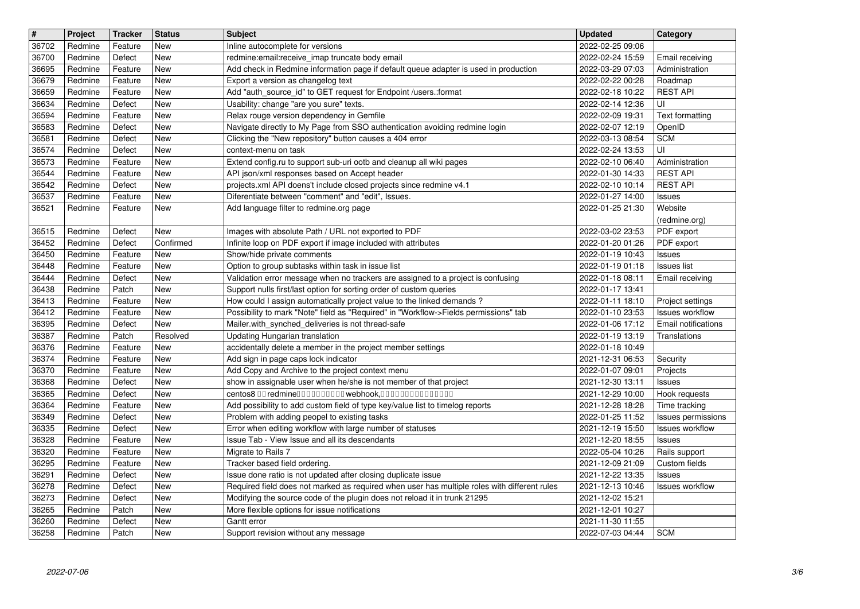| $\vert$ #      | Project            | <b>Tracker</b>     | <b>Status</b>     | <b>Subject</b>                                                                                                                                                            | <b>Updated</b>                       | Category                                      |
|----------------|--------------------|--------------------|-------------------|---------------------------------------------------------------------------------------------------------------------------------------------------------------------------|--------------------------------------|-----------------------------------------------|
| 36702<br>36700 | Redmine<br>Redmine | Feature<br>Defect  | New<br>New        | Inline autocomplete for versions<br>redmine: email: receive_imap truncate body email                                                                                      | 2022-02-25 09:06<br>2022-02-24 15:59 | Email receiving                               |
| 36695          | Redmine            | Feature            | New               | Add check in Redmine information page if default queue adapter is used in production                                                                                      | 2022-03-29 07:03                     | Administration                                |
| 36679<br>36659 | Redmine<br>Redmine | Feature<br>Feature | New<br>New        | Export a version as changelog text<br>Add "auth_source_id" to GET request for Endpoint /users.:format                                                                     | 2022-02-22 00:28<br>2022-02-18 10:22 | Roadmap<br><b>REST API</b>                    |
| 36634          | Redmine            | Defect             | New               | Usability: change "are you sure" texts.                                                                                                                                   | 2022-02-14 12:36                     | UI                                            |
| 36594<br>36583 | Redmine<br>Redmine | Feature<br>Defect  | New<br>New        | Relax rouge version dependency in Gemfile<br>Navigate directly to My Page from SSO authentication avoiding redmine login                                                  | 2022-02-09 19:31<br>2022-02-07 12:19 | Text formatting<br>OpenID                     |
| 36581          | Redmine            | Defect             | <b>New</b>        | Clicking the "New repository" button causes a 404 error                                                                                                                   | 2022-03-13 08:54                     | <b>SCM</b><br>UI                              |
| 36574<br>36573 | Redmine<br>Redmine | Defect<br>Feature  | New<br><b>New</b> | context-menu on task<br>Extend config.ru to support sub-uri ootb and cleanup all wiki pages                                                                               | 2022-02-24 13:53<br>2022-02-10 06:40 | Administration                                |
| 36544<br>36542 | Redmine<br>Redmine | Feature<br>Defect  | New<br>New        | API json/xml responses based on Accept header<br>projects.xml API doens't include closed projects since redmine v4.1                                                      | 2022-01-30 14:33<br>2022-02-10 10:14 | <b>REST API</b><br><b>REST API</b>            |
| 36537          | Redmine            | Feature            | New               | Diferentiate between "comment" and "edit", Issues.                                                                                                                        | 2022-01-27 14:00                     | Issues                                        |
| 36521          | Redmine            | Feature            | <b>New</b>        | Add language filter to redmine.org page                                                                                                                                   | 2022-01-25 21:30                     | Website<br>(redmine.org)                      |
| 36515          | Redmine            | Defect             | <b>New</b>        | Images with absolute Path / URL not exported to PDF                                                                                                                       | 2022-03-02 23:53                     | PDF export                                    |
| 36452<br>36450 | Redmine<br>Redmine | Defect<br>Feature  | Confirmed<br>New  | Infinite loop on PDF export if image included with attributes<br>Show/hide private comments                                                                               | 2022-01-20 01:26<br>2022-01-19 10:43 | PDF export<br>Issues                          |
| 36448          | Redmine            | Feature            | New               | Option to group subtasks within task in issue list                                                                                                                        | 2022-01-19 01:18                     | <b>Issues list</b>                            |
| 36444<br>36438 | Redmine<br>Redmine | Defect<br>Patch    | New<br><b>New</b> | Validation error message when no trackers are assigned to a project is confusing<br>Support nulls first/last option for sorting order of custom queries                   | 2022-01-18 08:11<br>2022-01-17 13:41 | Email receiving                               |
| 36413          | Redmine            | Feature            | New               | How could I assign automatically project value to the linked demands?                                                                                                     | 2022-01-11 18:10                     | Project settings                              |
| 36412<br>36395 | Redmine<br>Redmine | Feature<br>Defect  | New<br>New        | Possibility to mark "Note" field as "Required" in "Workflow->Fields permissions" tab<br>Mailer.with_synched_deliveries is not thread-safe                                 | 2022-01-10 23:53<br>2022-01-06 17:12 | <b>Issues workflow</b><br>Email notifications |
| 36387          | Redmine            | Patch              | Resolved          | Updating Hungarian translation                                                                                                                                            | 2022-01-19 13:19                     | Translations                                  |
| 36376<br>36374 | Redmine<br>Redmine | Feature<br>Feature | New<br>New        | accidentally delete a member in the project member settings<br>Add sign in page caps lock indicator                                                                       | 2022-01-18 10:49<br>2021-12-31 06:53 | Security                                      |
| 36370          | Redmine            | Feature            | <b>New</b>        | Add Copy and Archive to the project context menu                                                                                                                          | 2022-01-07 09:01                     | Projects                                      |
| 36368<br>36365 | Redmine<br>Redmine | Defect<br>Defect   | New<br>New        | show in assignable user when he/she is not member of that project<br>centos8 00 redmine0000000000 webhook,000000000000000                                                 | 2021-12-30 13:11<br>2021-12-29 10:00 | Issues<br>Hook requests                       |
| 36364          | Redmine            | Feature            | New               | Add possibility to add custom field of type key/value list to timelog reports                                                                                             | 2021-12-28 18:28                     | Time tracking                                 |
| 36349<br>36335 | Redmine<br>Redmine | Defect<br>Defect   | New<br>New        | Problem with adding peopel to existing tasks<br>Error when editing workflow with large number of statuses                                                                 | 2022-01-25 11:52<br>2021-12-19 15:50 | Issues permissions<br>Issues workflow         |
| 36328          | Redmine            | Feature            | New               | Issue Tab - View Issue and all its descendants                                                                                                                            | 2021-12-20 18:55                     | Issues                                        |
| 36320<br>36295 | Redmine<br>Redmine | Feature<br>Feature | New<br>New        | Migrate to Rails 7<br>Tracker based field ordering.                                                                                                                       | 2022-05-04 10:26<br>2021-12-09 21:09 | Rails support<br>Custom fields                |
| 36291          | Redmine            | Defect             | New               | Issue done ratio is not updated after closing duplicate issue                                                                                                             | 2021-12-22 13:35                     | Issues                                        |
| 36278<br>36273 | Redmine<br>Redmine | Defect<br>Defect   | New<br>New        | Required field does not marked as required when user has multiple roles with different rules<br>Modifying the source code of the plugin does not reload it in trunk 21295 | 2021-12-13 10:46<br>2021-12-02 15:21 | <b>Issues workflow</b>                        |
| 36265          | Redmine            | Patch              | New               | More flexible options for issue notifications                                                                                                                             | 2021-12-01 10:27                     |                                               |
| 36260<br>36258 | Redmine<br>Redmine | Defect<br>Patch    | New<br>New        | Gantt error<br>Support revision without any message                                                                                                                       | 2021-11-30 11:55<br>2022-07-03 04:44 | <b>SCM</b>                                    |
|                |                    |                    |                   |                                                                                                                                                                           |                                      |                                               |
|                |                    |                    |                   |                                                                                                                                                                           |                                      |                                               |
|                |                    |                    |                   |                                                                                                                                                                           |                                      |                                               |
|                |                    |                    |                   |                                                                                                                                                                           |                                      |                                               |
|                |                    |                    |                   |                                                                                                                                                                           |                                      |                                               |
|                |                    |                    |                   |                                                                                                                                                                           |                                      |                                               |
|                |                    |                    |                   |                                                                                                                                                                           |                                      |                                               |
|                |                    |                    |                   |                                                                                                                                                                           |                                      |                                               |
|                |                    |                    |                   |                                                                                                                                                                           |                                      |                                               |
|                |                    |                    |                   |                                                                                                                                                                           |                                      |                                               |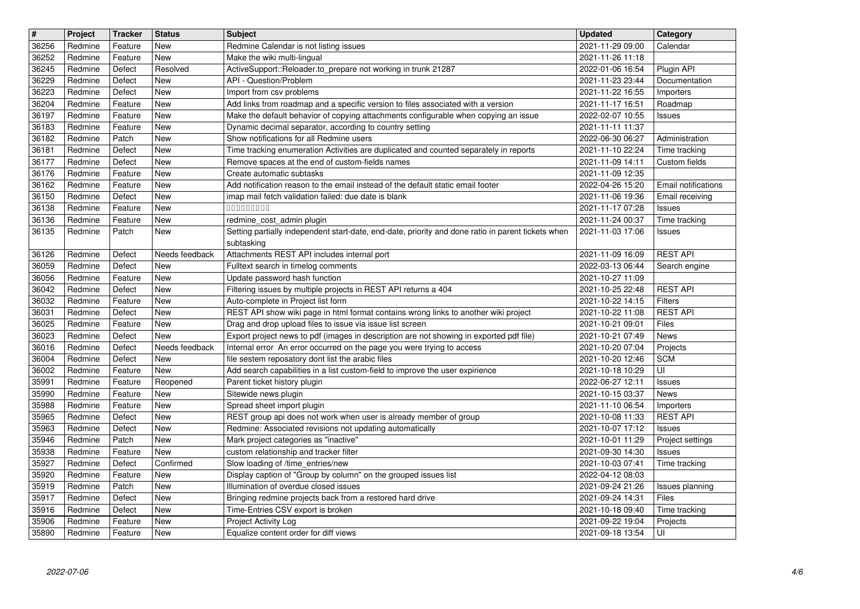| 36256<br>36252<br>36245<br>36229<br>36223<br>36204 | Redmine            | <b>Tracker</b>     |                       | <b>Subject</b>                                                                                                                                                    | <b>Updated</b>                       | Category                        |
|----------------------------------------------------|--------------------|--------------------|-----------------------|-------------------------------------------------------------------------------------------------------------------------------------------------------------------|--------------------------------------|---------------------------------|
|                                                    |                    | Feature            | <b>New</b>            | Redmine Calendar is not listing issues                                                                                                                            | 2021-11-29 09:00                     | Calendar                        |
|                                                    | Redmine            | Feature            | New                   | Make the wiki multi-lingual                                                                                                                                       | 2021-11-26 11:18                     |                                 |
|                                                    | Redmine<br>Redmine | Defect<br>Defect   | Resolved<br>New       | ActiveSupport::Reloader.to_prepare not working in trunk 21287<br>API - Question/Problem                                                                           | 2022-01-06 16:54<br>2021-11-23 23:44 | Plugin API<br>Documentation     |
|                                                    | Redmine            | Defect             | New                   | Import from csv problems                                                                                                                                          | 2021-11-22 16:55                     | Importers                       |
|                                                    | Redmine            | Feature            | New                   | Add links from roadmap and a specific version to files associated with a version                                                                                  | 2021-11-17 16:51                     | Roadmap                         |
| 36197                                              | Redmine            | Feature            | New                   | Make the default behavior of copying attachments configurable when copying an issue                                                                               | 2022-02-07 10:55                     | Issues                          |
| 36183                                              | Redmine            | Feature            | New                   | Dynamic decimal separator, according to country setting                                                                                                           | 2021-11-11 11:37                     |                                 |
| 36182<br>36181                                     | Redmine<br>Redmine | Patch<br>Defect    | <b>New</b><br>New     | Show notifications for all Redmine users<br>Time tracking enumeration Activities are duplicated and counted separately in reports                                 | 2022-06-30 06:27<br>2021-11-10 22:24 | Administration<br>Time tracking |
| 36177                                              | Redmine            | Defect             | New                   | Remove spaces at the end of custom-fields names                                                                                                                   | 2021-11-09 14:11                     | Custom fields                   |
| 36176                                              | Redmine            | Feature            | New                   | Create automatic subtasks                                                                                                                                         | 2021-11-09 12:35                     |                                 |
| 36162                                              | Redmine            | Feature            | New                   | Add notification reason to the email instead of the default static email footer                                                                                   | 2022-04-26 15:20                     | Email notifications             |
| 36150                                              | Redmine            | Defect             | New                   | imap mail fetch validation failed: due date is blank                                                                                                              | 2021-11-06 19:36                     | Email receiving                 |
| 36138<br>36136                                     | Redmine<br>Redmine | Feature<br>Feature | New<br>New            | 000000000<br>redmine_cost_admin plugin                                                                                                                            | 2021-11-17 07:28<br>2021-11-24 00:37 | <b>Issues</b><br>Time tracking  |
| 36135                                              | Redmine            | Patch              | <b>New</b>            | Setting partially independent start-date, end-date, priority and done ratio in parent tickets when                                                                | 2021-11-03 17:06                     | Issues                          |
|                                                    |                    |                    |                       | subtasking                                                                                                                                                        |                                      |                                 |
| 36126                                              | Redmine            | Defect             | Needs feedback        | Attachments REST API includes internal port                                                                                                                       | 2021-11-09 16:09                     | <b>REST API</b>                 |
| 36059<br>36056                                     | Redmine<br>Redmine | Defect<br>Feature  | New<br>New            | Fulltext search in timelog comments<br>Update password hash function                                                                                              | 2022-03-13 06:44<br>2021-10-27 11:09 | Search engine                   |
| 36042                                              | Redmine            | Defect             | New                   | Filtering issues by multiple projects in REST API returns a 404                                                                                                   | 2021-10-25 22:48                     | <b>REST API</b>                 |
| 36032                                              | Redmine            | Feature            | New                   | Auto-complete in Project list form                                                                                                                                | 2021-10-22 14:15                     | <b>Filters</b>                  |
| 36031                                              | Redmine            | Defect             | New                   | REST API show wiki page in html format contains wrong links to another wiki project                                                                               | 2021-10-22 11:08                     | <b>REST API</b>                 |
| 36025                                              | Redmine            | Feature            | New                   | Drag and drop upload files to issue via issue list screen                                                                                                         | 2021-10-21 09:01                     | Files                           |
| 36023<br>36016                                     | Redmine<br>Redmine | Defect<br>Defect   | New<br>Needs feedback | Export project news to pdf (images in description are not showing in exported pdf file)<br>Internal error An error occurred on the page you were trying to access | 2021-10-21 07:49<br>2021-10-20 07:04 | News<br>Projects                |
| 36004                                              | Redmine            | Defect             | New                   | file sestem reposatory dont list the arabic files                                                                                                                 | 2021-10-20 12:46                     | <b>SCM</b>                      |
| 36002                                              | Redmine            | Feature            | New                   | Add search capabilities in a list custom-field to improve the user expirience                                                                                     | 2021-10-18 10:29                     | UI                              |
| 35991                                              | Redmine            | Feature            | Reopened              | Parent ticket history plugin                                                                                                                                      | 2022-06-27 12:11                     | <b>Issues</b>                   |
| 35990                                              | Redmine            | Feature            | <b>New</b>            | Sitewide news plugin                                                                                                                                              | 2021-10-15 03:37                     | News                            |
| 35988<br>35965                                     | Redmine<br>Redmine | Feature<br>Defect  | New<br>New            | Spread sheet import plugin<br>REST group api does not work when user is already member of group                                                                   | 2021-11-10 06:54<br>2021-10-08 11:33 | Importers<br><b>REST API</b>    |
| 35963                                              | Redmine            | Defect             | New                   | Redmine: Associated revisions not updating automatically                                                                                                          | 2021-10-07 17:12                     | Issues                          |
| 35946                                              | Redmine            | Patch              | New                   | Mark project categories as "inactive"                                                                                                                             | 2021-10-01 11:29                     | Project settings                |
| 35938                                              | Redmine            | Feature            | New                   | custom relationship and tracker filter                                                                                                                            | 2021-09-30 14:30                     | Issues                          |
| 35927                                              | Redmine            | Defect             | Confirmed             | Slow loading of /time_entries/new                                                                                                                                 | 2021-10-03 07:41                     | Time tracking                   |
| 35920<br>35919                                     | Redmine<br>Redmine | Feature<br>Patch   | New<br><b>New</b>     | Display caption of "Group by column" on the grouped issues list<br>Illumination of overdue closed issues                                                          | 2022-04-12 08:03<br>2021-09-24 21:26 | Issues planning                 |
| 35917                                              | Redmine            | Defect             | New                   | Bringing redmine projects back from a restored hard drive                                                                                                         | 2021-09-24 14:31                     | Files                           |
| 35916                                              | Redmine            | Defect             | New                   | Time-Entries CSV export is broken                                                                                                                                 | 2021-10-18 09:40                     | Time tracking                   |
| 35906<br>35890                                     | Redmine<br>Redmine | Feature<br>Feature | New<br>New            | Project Activity Log<br>Equalize content order for diff views                                                                                                     | 2021-09-22 19:04<br>2021-09-18 13:54 | Projects<br>UI                  |
|                                                    |                    |                    |                       |                                                                                                                                                                   |                                      |                                 |
|                                                    |                    |                    |                       |                                                                                                                                                                   |                                      |                                 |
|                                                    |                    |                    |                       |                                                                                                                                                                   |                                      |                                 |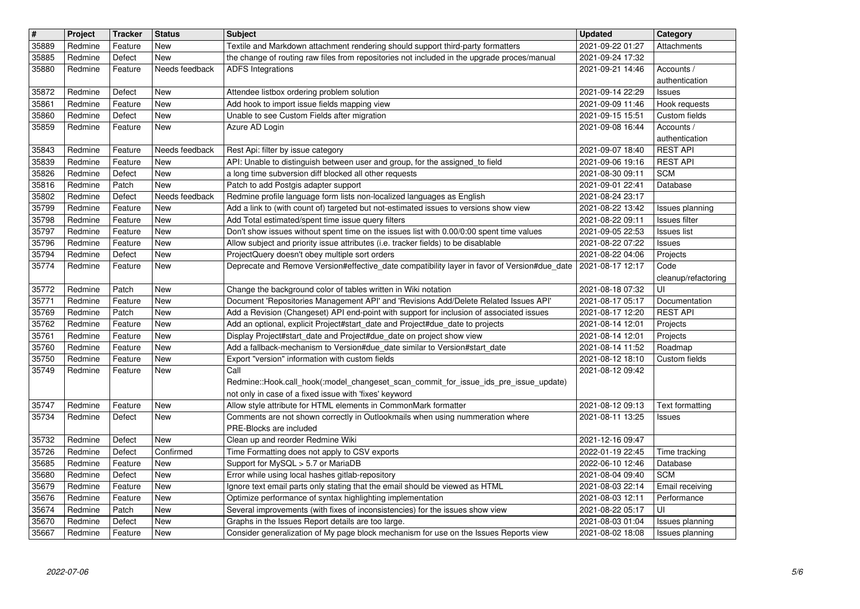| $\overline{\mathbf{H}}$ | Project            | <b>Tracker</b>     | <b>Status</b>         | <b>Subject</b>                                                                                                                                                                 | <b>Updated</b>                       | Category                          |
|-------------------------|--------------------|--------------------|-----------------------|--------------------------------------------------------------------------------------------------------------------------------------------------------------------------------|--------------------------------------|-----------------------------------|
| 35889<br>35885          | Redmine<br>Redmine | Feature<br>Defect  | <b>New</b><br>New     | Textile and Markdown attachment rendering should support third-party formatters<br>the change of routing raw files from repositories not included in the upgrade proces/manual | 2021-09-22 01:27<br>2021-09-24 17:32 | Attachments                       |
| 35880                   | Redmine            | Feature            | Needs feedback        | <b>ADFS</b> Integrations                                                                                                                                                       | 2021-09-21 14:46                     | Accounts /                        |
|                         |                    |                    |                       |                                                                                                                                                                                |                                      | authentication                    |
| 35872<br>35861          | Redmine<br>Redmine | Defect<br>Feature  | New<br>New            | Attendee listbox ordering problem solution<br>Add hook to import issue fields mapping view                                                                                     | 2021-09-14 22:29<br>2021-09-09 11:46 | Issues<br>Hook requests           |
| 35860                   | Redmine            | Defect             | New                   | Unable to see Custom Fields after migration                                                                                                                                    | 2021-09-15 15:51                     | Custom fields                     |
| 35859                   | Redmine            | Feature            | New                   | Azure AD Login                                                                                                                                                                 | 2021-09-08 16:44                     | Accounts /                        |
|                         | Redmine            |                    | Needs feedback        | Rest Api: filter by issue category                                                                                                                                             | 2021-09-07 18:40                     | authentication<br><b>REST API</b> |
| 35843<br>35839          | Redmine            | Feature<br>Feature | New                   | API: Unable to distinguish between user and group, for the assigned_to field                                                                                                   | 2021-09-06 19:16                     | <b>REST API</b>                   |
| 35826                   | Redmine            | Defect             | New                   | a long time subversion diff blocked all other requests                                                                                                                         | 2021-08-30 09:11                     | <b>SCM</b>                        |
| 35816                   | Redmine            | Patch              | New                   | Patch to add Postgis adapter support                                                                                                                                           | 2021-09-01 22:41                     | Database                          |
| 35802<br>35799          | Redmine<br>Redmine | Defect<br>Feature  | Needs feedback<br>New | Redmine profile language form lists non-localized languages as English<br>Add a link to (with count of) targeted but not-estimated issues to versions show view                | 2021-08-24 23:17<br>2021-08-22 13:42 | Issues planning                   |
| 35798                   | Redmine            | Feature            | New                   | Add Total estimated/spent time issue query filters                                                                                                                             | 2021-08-22 09:11                     | Issues filter                     |
| 35797                   | Redmine            | Feature            | New                   | Don't show issues without spent time on the issues list with 0.00/0:00 spent time values                                                                                       | 2021-09-05 22:53                     | <b>Issues list</b>                |
| 35796<br>35794          | Redmine<br>Redmine | Feature<br>Defect  | New<br>New            | Allow subject and priority issue attributes (i.e. tracker fields) to be disablable<br>ProjectQuery doesn't obey multiple sort orders                                           | 2021-08-22 07:22<br>2021-08-22 04:06 | Issues<br>Projects                |
| 35774                   | Redmine            | Feature            | New                   | Deprecate and Remove Version#effective_date compatibility layer in favor of Version#due_date                                                                                   | 2021-08-17 12:17                     | Code                              |
|                         |                    |                    |                       |                                                                                                                                                                                |                                      | cleanup/refactoring<br>UI         |
| 35772<br>35771          | Redmine<br>Redmine | Patch<br>Feature   | New<br>New            | Change the background color of tables written in Wiki notation<br>Document 'Repositories Management API' and 'Revisions Add/Delete Related Issues API'                         | 2021-08-18 07:32<br>2021-08-17 05:17 | Documentation                     |
| 35769                   | Redmine            | Patch              | New                   | Add a Revision (Changeset) API end-point with support for inclusion of associated issues                                                                                       | 2021-08-17 12:20                     | <b>REST API</b>                   |
| 35762                   | Redmine            | Feature            | New                   | Add an optional, explicit Project#start_date and Project#due_date to projects                                                                                                  | 2021-08-14 12:01                     | Projects                          |
| 35761<br>35760          | Redmine<br>Redmine | Feature<br>Feature | New<br>New            | Display Project#start_date and Project#due_date on project show view<br>Add a fallback-mechanism to Version#due_date similar to Version#start_date                             | 2021-08-14 12:01<br>2021-08-14 11:52 | Projects<br>Roadmap               |
| 35750                   | Redmine            | Feature            | New                   | Export "version" information with custom fields                                                                                                                                | 2021-08-12 18:10                     | Custom fields                     |
| 35749                   | Redmine            | Feature            | New                   | Call                                                                                                                                                                           | 2021-08-12 09:42                     |                                   |
|                         |                    |                    |                       | Redmine::Hook.call_hook(:model_changeset_scan_commit_for_issue_ids_pre_issue_update)<br>not only in case of a fixed issue with 'fixes' keyword                                 |                                      |                                   |
| 35747                   | Redmine            | Feature            | New                   | Allow style attribute for HTML elements in CommonMark formatter                                                                                                                | 2021-08-12 09:13                     | Text formatting                   |
| 35734                   | Redmine            | Defect             | <b>New</b>            | Comments are not shown correctly in Outlookmails when using nummeration where                                                                                                  | 2021-08-11 13:25                     | <b>Issues</b>                     |
|                         |                    |                    |                       | PRE-Blocks are included                                                                                                                                                        |                                      |                                   |
| 35732<br>35726          | Redmine<br>Redmine | Defect<br>Defect   | New<br>Confirmed      | Clean up and reorder Redmine Wiki<br>Time Formatting does not apply to CSV exports                                                                                             | 2021-12-16 09:47<br>2022-01-19 22:45 | Time tracking                     |
| 35685                   | Redmine            | Feature            | New                   | Support for MySQL > 5.7 or MariaDB                                                                                                                                             | 2022-06-10 12:46                     | Database                          |
| 35680                   | Redmine            | Defect             | New                   | Error while using local hashes gitlab-repository                                                                                                                               | 2021-08-04 09:40                     | <b>SCM</b>                        |
| 35679<br>35676          | Redmine<br>Redmine | Feature<br>Feature | <b>New</b><br>New     | Ignore text email parts only stating that the email should be viewed as HTML<br>Optimize performance of syntax highlighting implementation                                     | 2021-08-03 22:14<br>2021-08-03 12:11 | Email receiving<br>Performance    |
| 35674                   | Redmine            | Patch              | New                   | Several improvements (with fixes of inconsistencies) for the issues show view                                                                                                  | 2021-08-22 05:17                     | UI                                |
| 35670                   | Redmine            | Defect             | New                   | Graphs in the Issues Report details are too large.                                                                                                                             | 2021-08-03 01:04                     | Issues planning                   |
| 35667                   | Redmine            | Feature            | New                   | Consider generalization of My page block mechanism for use on the Issues Reports view                                                                                          | 2021-08-02 18:08                     | Issues planning                   |
|                         |                    |                    |                       |                                                                                                                                                                                |                                      |                                   |
|                         |                    |                    |                       |                                                                                                                                                                                |                                      |                                   |
|                         |                    |                    |                       |                                                                                                                                                                                |                                      |                                   |
|                         |                    |                    |                       |                                                                                                                                                                                |                                      |                                   |
|                         |                    |                    |                       |                                                                                                                                                                                |                                      |                                   |
|                         |                    |                    |                       |                                                                                                                                                                                |                                      |                                   |
|                         |                    |                    |                       |                                                                                                                                                                                |                                      |                                   |
|                         |                    |                    |                       |                                                                                                                                                                                |                                      |                                   |
|                         |                    |                    |                       |                                                                                                                                                                                |                                      |                                   |
|                         |                    |                    |                       |                                                                                                                                                                                |                                      |                                   |
|                         |                    |                    |                       |                                                                                                                                                                                |                                      |                                   |
|                         |                    |                    |                       |                                                                                                                                                                                |                                      |                                   |